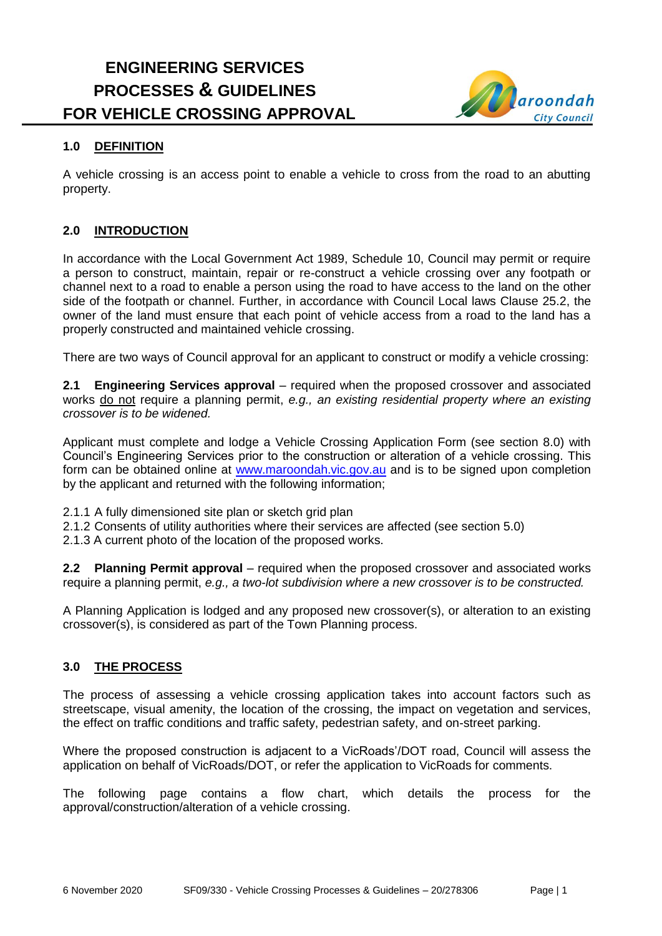# **ENGINEERING SERVICES PROCESSES & GUIDELINES FOR VEHICLE CROSSING APPROVAL**



# **1.0 DEFINITION**

A vehicle crossing is an access point to enable a vehicle to cross from the road to an abutting property.

### **2.0 INTRODUCTION**

In accordance with the Local Government Act 1989, Schedule 10, Council may permit or require a person to construct, maintain, repair or re-construct a vehicle crossing over any footpath or channel next to a road to enable a person using the road to have access to the land on the other side of the footpath or channel. Further, in accordance with Council Local laws Clause 25.2, the owner of the land must ensure that each point of vehicle access from a road to the land has a properly constructed and maintained vehicle crossing.

There are two ways of Council approval for an applicant to construct or modify a vehicle crossing:

**2.1 Engineering Services approval** – required when the proposed crossover and associated works do not require a planning permit, *e.g., an existing residential property where an existing crossover is to be widened.*

Applicant must complete and lodge a Vehicle Crossing Application Form (see section 8.0) with Council's Engineering Services prior to the construction or alteration of a vehicle crossing. This form can be obtained online at [www.maroondah.vic.gov.au](http://www.maroondah.vic.gov.au/) and is to be signed upon completion by the applicant and returned with the following information;

- 2.1.1 A fully dimensioned site plan or sketch grid plan
- 2.1.2 Consents of utility authorities where their services are affected (see section 5.0)

2.1.3 A current photo of the location of the proposed works.

**2.2 Planning Permit approval** – required when the proposed crossover and associated works require a planning permit, *e.g., a two-lot subdivision where a new crossover is to be constructed.*

A Planning Application is lodged and any proposed new crossover(s), or alteration to an existing crossover(s), is considered as part of the Town Planning process.

### **3.0 THE PROCESS**

The process of assessing a vehicle crossing application takes into account factors such as streetscape, visual amenity, the location of the crossing, the impact on vegetation and services, the effect on traffic conditions and traffic safety, pedestrian safety, and on-street parking.

Where the proposed construction is adjacent to a VicRoads'/DOT road, Council will assess the application on behalf of VicRoads/DOT, or refer the application to VicRoads for comments.

The following page contains a flow chart, which details the process for the approval/construction/alteration of a vehicle crossing.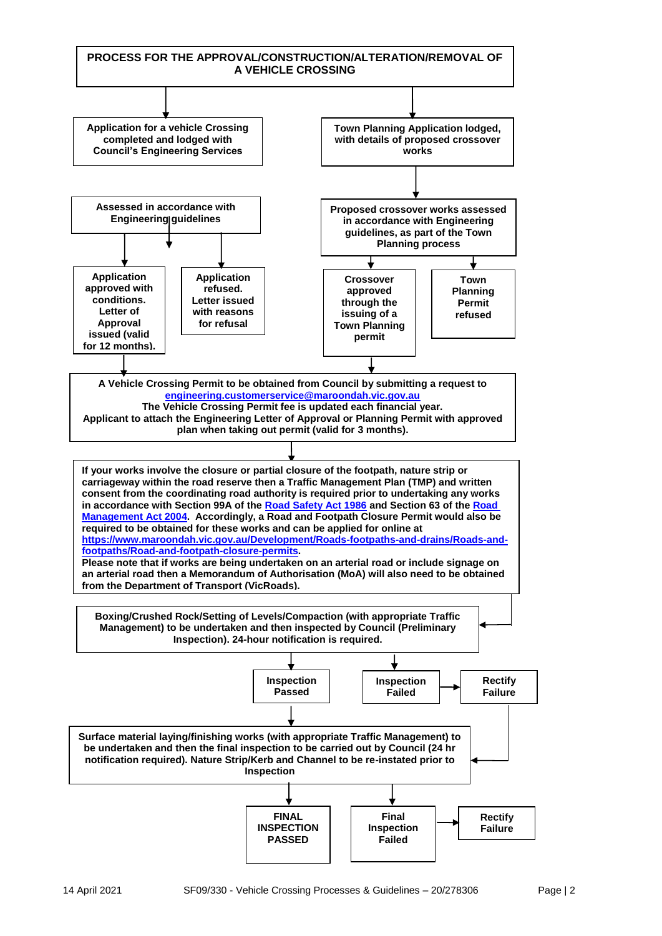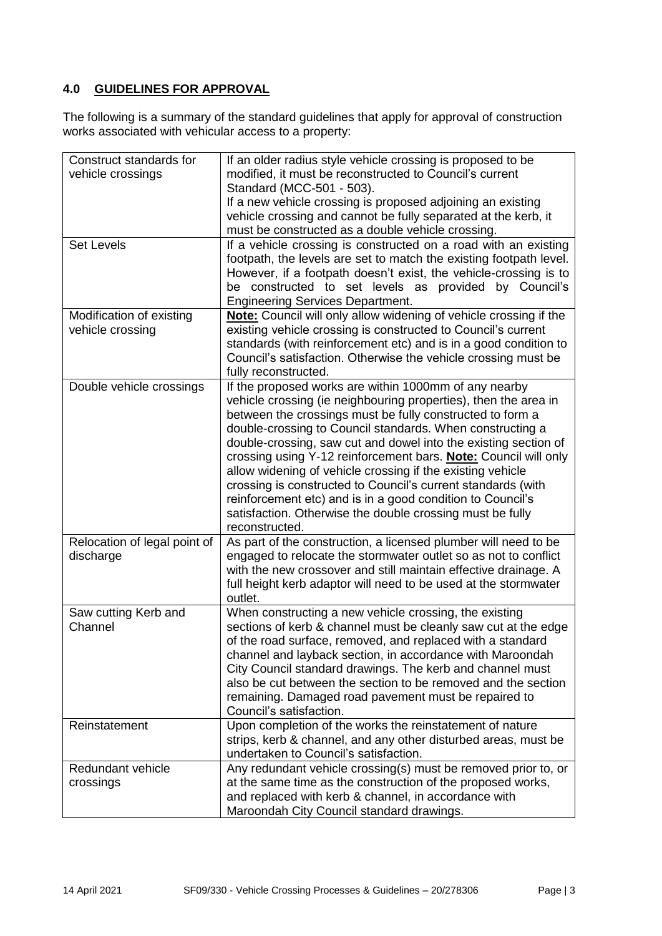### **4.0 GUIDELINES FOR APPROVAL**

The following is a summary of the standard guidelines that apply for approval of construction works associated with vehicular access to a property:

| Construct standards for      | If an older radius style vehicle crossing is proposed to be        |  |
|------------------------------|--------------------------------------------------------------------|--|
| vehicle crossings            | modified, it must be reconstructed to Council's current            |  |
|                              | Standard (MCC-501 - 503).                                          |  |
|                              | If a new vehicle crossing is proposed adjoining an existing        |  |
|                              | vehicle crossing and cannot be fully separated at the kerb, it     |  |
|                              | must be constructed as a double vehicle crossing.                  |  |
| <b>Set Levels</b>            | If a vehicle crossing is constructed on a road with an existing    |  |
|                              | footpath, the levels are set to match the existing footpath level. |  |
|                              | However, if a footpath doesn't exist, the vehicle-crossing is to   |  |
|                              | be constructed to set levels as provided by Council's              |  |
|                              | <b>Engineering Services Department.</b>                            |  |
| Modification of existing     | Note: Council will only allow widening of vehicle crossing if the  |  |
| vehicle crossing             | existing vehicle crossing is constructed to Council's current      |  |
|                              | standards (with reinforcement etc) and is in a good condition to   |  |
|                              | Council's satisfaction. Otherwise the vehicle crossing must be     |  |
|                              | fully reconstructed.                                               |  |
| Double vehicle crossings     | If the proposed works are within 1000mm of any nearby              |  |
|                              | vehicle crossing (ie neighbouring properties), then the area in    |  |
|                              | between the crossings must be fully constructed to form a          |  |
|                              | double-crossing to Council standards. When constructing a          |  |
|                              | double-crossing, saw cut and dowel into the existing section of    |  |
|                              | crossing using Y-12 reinforcement bars. Note: Council will only    |  |
|                              | allow widening of vehicle crossing if the existing vehicle         |  |
|                              | crossing is constructed to Council's current standards (with       |  |
|                              | reinforcement etc) and is in a good condition to Council's         |  |
|                              | satisfaction. Otherwise the double crossing must be fully          |  |
|                              | reconstructed.                                                     |  |
| Relocation of legal point of | As part of the construction, a licensed plumber will need to be    |  |
| discharge                    | engaged to relocate the stormwater outlet so as not to conflict    |  |
|                              | with the new crossover and still maintain effective drainage. A    |  |
|                              | full height kerb adaptor will need to be used at the stormwater    |  |
|                              | outlet.                                                            |  |
| Saw cutting Kerb and         | When constructing a new vehicle crossing, the existing             |  |
| Channel                      | sections of kerb & channel must be cleanly saw cut at the edge     |  |
|                              | of the road surface, removed, and replaced with a standard         |  |
|                              | channel and layback section, in accordance with Maroondah          |  |
|                              | City Council standard drawings. The kerb and channel must          |  |
|                              | also be cut between the section to be removed and the section      |  |
|                              | remaining. Damaged road pavement must be repaired to               |  |
|                              | Council's satisfaction.                                            |  |
| Reinstatement                | Upon completion of the works the reinstatement of nature           |  |
|                              | strips, kerb & channel, and any other disturbed areas, must be     |  |
|                              | undertaken to Council's satisfaction.                              |  |
| Redundant vehicle            | Any redundant vehicle crossing(s) must be removed prior to, or     |  |
| crossings                    | at the same time as the construction of the proposed works,        |  |
|                              | and replaced with kerb & channel, in accordance with               |  |
|                              | Maroondah City Council standard drawings.                          |  |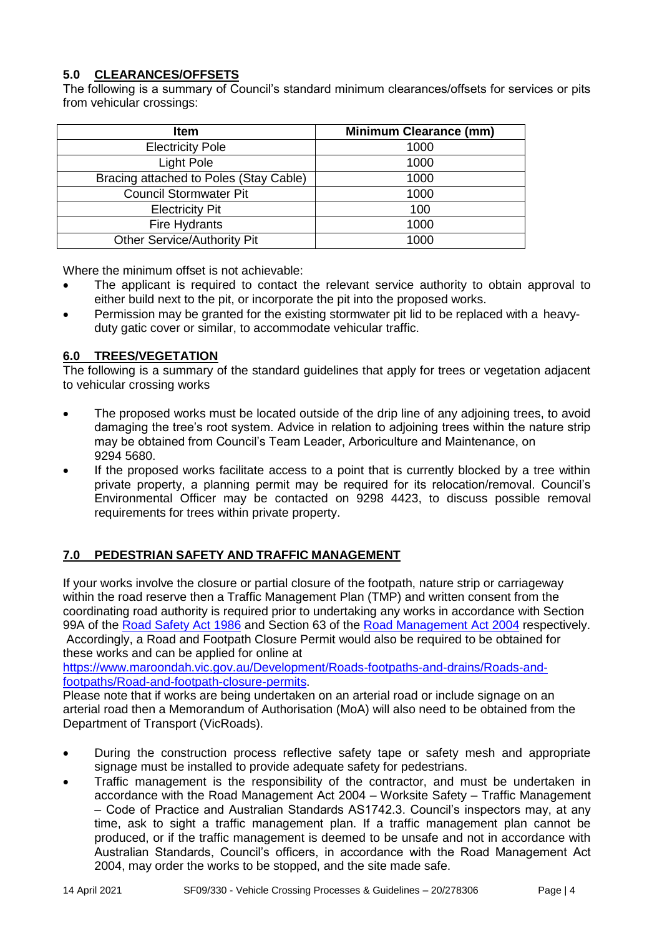## **5.0 CLEARANCES/OFFSETS**

The following is a summary of Council's standard minimum clearances/offsets for services or pits from vehicular crossings:

| <b>Item</b>                            | <b>Minimum Clearance (mm)</b> |
|----------------------------------------|-------------------------------|
| <b>Electricity Pole</b>                | 1000                          |
| Light Pole                             | 1000                          |
| Bracing attached to Poles (Stay Cable) | 1000                          |
| <b>Council Stormwater Pit</b>          | 1000                          |
| <b>Electricity Pit</b>                 | 100                           |
| Fire Hydrants                          | 1000                          |
| <b>Other Service/Authority Pit</b>     | 1000                          |

Where the minimum offset is not achievable:

- The applicant is required to contact the relevant service authority to obtain approval to either build next to the pit, or incorporate the pit into the proposed works.
- Permission may be granted for the existing stormwater pit lid to be replaced with a heavyduty gatic cover or similar, to accommodate vehicular traffic.

#### **6.0 TREES/VEGETATION**

The following is a summary of the standard guidelines that apply for trees or vegetation adjacent to vehicular crossing works

- The proposed works must be located outside of the drip line of any adjoining trees, to avoid damaging the tree's root system. Advice in relation to adjoining trees within the nature strip may be obtained from Council's Team Leader, Arboriculture and Maintenance, on 9294 5680.
- If the proposed works facilitate access to a point that is currently blocked by a tree within private property, a planning permit may be required for its relocation/removal. Council's Environmental Officer may be contacted on 9298 4423, to discuss possible removal requirements for trees within private property.

### **7.0 PEDESTRIAN SAFETY AND TRAFFIC MANAGEMENT**

If your works involve the closure or partial closure of the footpath, nature strip or carriageway within the road reserve then a Traffic Management Plan (TMP) and written consent from the coordinating road authority is required prior to undertaking any works in accordance with Section 99A of the [Road Safety Act 1986](https://content.legislation.vic.gov.au/sites/default/files/2020-04/86-127aa201%20authorised.pdf) and Section 63 of the [Road Management Act 2004](https://content.legislation.vic.gov.au/sites/default/files/2020-04/04-12aa059%20authorised.pdf) respectively. Accordingly, a Road and Footpath Closure Permit would also be required to be obtained for

these works and can be applied for online at [https://www.maroondah.vic.gov.au/Development/Roads-footpaths-and-drains/Roads-and](https://www.maroondah.vic.gov.au/Development/Roads-footpaths-and-drains/Roads-and-footpaths/Road-and-footpath-closure-permits)[footpaths/Road-and-footpath-closure-permits.](https://www.maroondah.vic.gov.au/Development/Roads-footpaths-and-drains/Roads-and-footpaths/Road-and-footpath-closure-permits)

Please note that if works are being undertaken on an arterial road or include signage on an arterial road then a Memorandum of Authorisation (MoA) will also need to be obtained from the Department of Transport (VicRoads).

- During the construction process reflective safety tape or safety mesh and appropriate signage must be installed to provide adequate safety for pedestrians.
- Traffic management is the responsibility of the contractor, and must be undertaken in accordance with the Road Management Act 2004 – Worksite Safety – Traffic Management – Code of Practice and Australian Standards AS1742.3. Council's inspectors may, at any time, ask to sight a traffic management plan. If a traffic management plan cannot be produced, or if the traffic management is deemed to be unsafe and not in accordance with Australian Standards, Council's officers, in accordance with the Road Management Act 2004, may order the works to be stopped, and the site made safe.